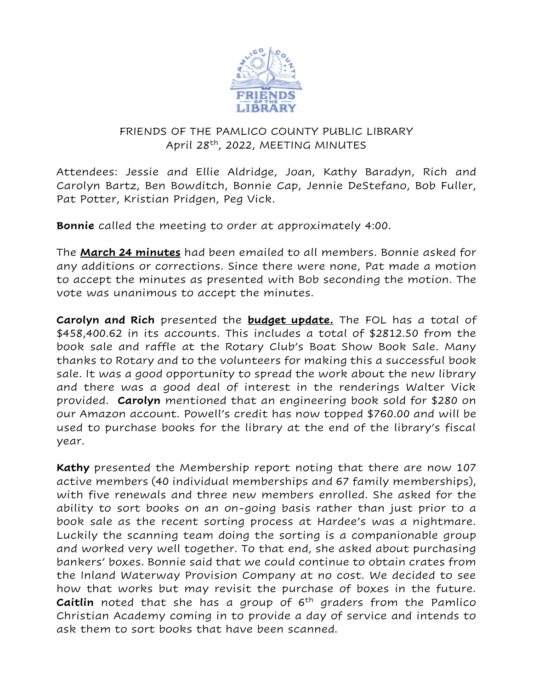

## FRIENDS OF THE PAMLICO COUNTY PUBLIC LIBRARY April 28th, 2022, MEETING MINUTES

Attendees: Jessie and Ellie Aldridge, Joan, Kathy Baradyn, Rich and Carolyn Bartz, Ben Bowditch, Bonnie Cap, Jennie DeStefano, Bob Fuller, Pat Potter, Kristian Pridgen, Peg Vick.

**Bonnie** called the meeting to order at approximately 4:00.

The **March 24 minutes** had been emailed to all members. Bonnie asked for any additions or corrections. Since there were none, Pat made a motion to accept the minutes as presented with Bob seconding the motion. The vote was unanimous to accept the minutes.

**Carolyn and Rich** presented the **budget update.** The FOL has a total of \$458,400.62 in its accounts. This includes a total of \$2812.50 from the book sale and raffle at the Rotary Club's Boat Show Book Sale. Many thanks to Rotary and to the volunteers for making this a successful book sale. It was a good opportunity to spread the work about the new library and there was a good deal of interest in the renderings Walter Vick provided. **Carolyn** mentioned that an engineering book sold for \$280 on our Amazon account. Powell's credit has now topped \$760.00 and will be used to purchase books for the library at the end of the library's fiscal year.

**Kathy** presented the Membership report noting that there are now 107 active members (40 individual memberships and 67 family memberships), with five renewals and three new members enrolled. She asked for the ability to sort books on an on-going basis rather than just prior to a book sale as the recent sorting process at Hardee's was a nightmare. Luckily the scanning team doing the sorting is a companionable group and worked very well together. To that end, she asked about purchasing bankers' boxes. Bonnie said that we could continue to obtain crates from the Inland Waterway Provision Company at no cost. We decided to see how that works but may revisit the purchase of boxes in the future. **Caitlin** noted that she has a group of 6<sup>th</sup> graders from the Pamlico Christian Academy coming in to provide a day of service and intends to ask them to sort books that have been scanned.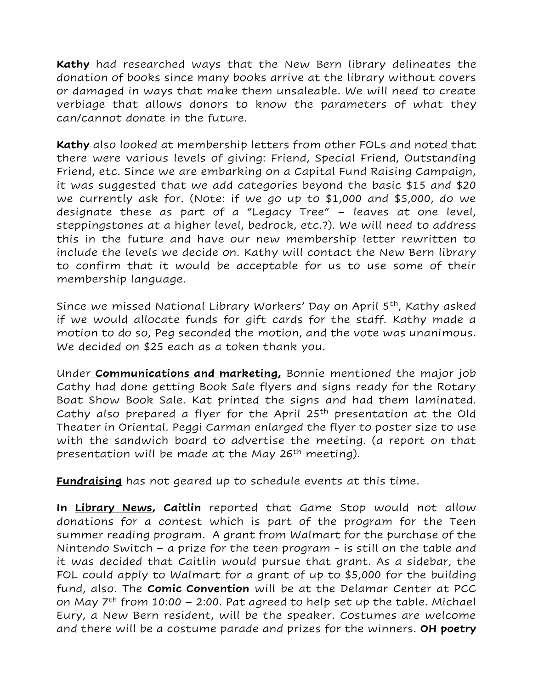**Kathy** had researched ways that the New Bern library delineates the donation of books since many books arrive at the library without covers or damaged in ways that make them unsaleable. We will need to create verbiage that allows donors to know the parameters of what they can/cannot donate in the future.

**Kathy** also looked at membership letters from other FOLs and noted that there were various levels of giving: Friend, Special Friend, Outstanding Friend, etc. Since we are embarking on a Capital Fund Raising Campaign, it was suggested that we add categories beyond the basic \$15 and \$20 we currently ask for. (Note: if we go up to \$1,000 and \$5,000, do we designate these as part of a "Legacy Tree" – leaves at one level, steppingstones at a higher level, bedrock, etc.?). We will need to address this in the future and have our new membership letter rewritten to include the levels we decide on. Kathy will contact the New Bern library to confirm that it would be acceptable for us to use some of their membership language.

Since we missed National Library Workers' Day on April 5<sup>th</sup>, Kathy asked if we would allocate funds for gift cards for the staff. Kathy made a motion to do so, Peg seconded the motion, and the vote was unanimous. We decided on \$25 each as a token thank you.

Under **Communications and marketing,** Bonnie mentioned the major job Cathy had done getting Book Sale flyers and signs ready for the Rotary Boat Show Book Sale. Kat printed the signs and had them laminated. Cathy also prepared a flyer for the April 25<sup>th</sup> presentation at the Old Theater in Oriental. Peggi Carman enlarged the flyer to poster size to use with the sandwich board to advertise the meeting. (a report on that presentation will be made at the May 26<sup>th</sup> meeting).

**Fundraising** has not geared up to schedule events at this time.

**In Library News, Caitlin** reported that Game Stop would not allow donations for a contest which is part of the program for the Teen summer reading program. A grant from Walmart for the purchase of the Nintendo Switch – a prize for the teen program - is still on the table and it was decided that Caitlin would pursue that grant. As a sidebar, the FOL could apply to Walmart for a grant of up to \$5,000 for the building fund, also. The **Comic Convention** will be at the Delamar Center at PCC on May  $7<sup>th</sup>$  from 10:00 – 2:00. Pat agreed to help set up the table. Michael Eury, a New Bern resident, will be the speaker. Costumes are welcome and there will be a costume parade and prizes for the winners. **OH poetry**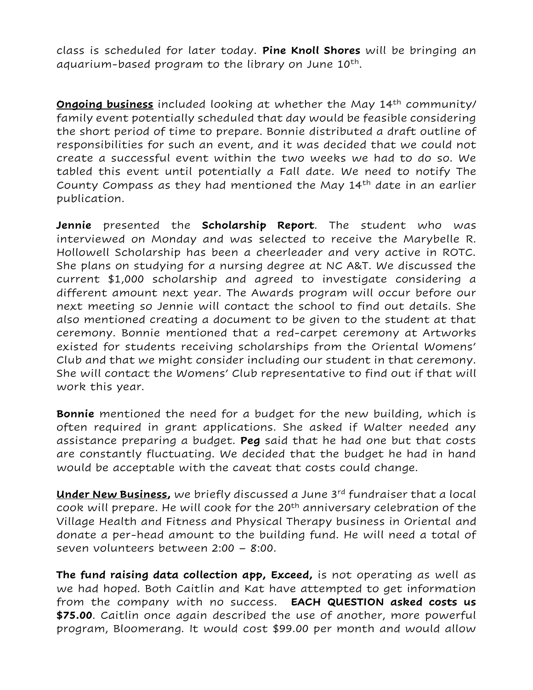class is scheduled for later today. **Pine Knoll Shores** will be bringing an aquarium-based program to the library on June 10<sup>th</sup>.

**<u>Ongoing business</u>** included looking at whether the May 14<sup>th</sup> community/ family event potentially scheduled that day would be feasible considering the short period of time to prepare. Bonnie distributed a draft outline of responsibilities for such an event, and it was decided that we could not create a successful event within the two weeks we had to do so. We tabled this event until potentially a Fall date. We need to notify The County Compass as they had mentioned the May 14th date in an earlier publication.

**Jennie** presented the **Scholarship Report**. The student who was interviewed on Monday and was selected to receive the Marybelle R. Hollowell Scholarship has been a cheerleader and very active in ROTC. She plans on studying for a nursing degree at NC A&T. We discussed the current \$1,000 scholarship and agreed to investigate considering a different amount next year. The Awards program will occur before our next meeting so Jennie will contact the school to find out details. She also mentioned creating a document to be given to the student at that ceremony. Bonnie mentioned that a red-carpet ceremony at Artworks existed for students receiving scholarships from the Oriental Womens' Club and that we might consider including our student in that ceremony. She will contact the Womens' Club representative to find out if that will work this year.

**Bonnie** mentioned the need for a budget for the new building, which is often required in grant applications. She asked if Walter needed any assistance preparing a budget. **Peg** said that he had one but that costs are constantly fluctuating. We decided that the budget he had in hand would be acceptable with the caveat that costs could change.

**Under New Business,** we briefly discussed a June 3rd fundraiser that a local cook will prepare. He will cook for the 20<sup>th</sup> anniversary celebration of the Village Health and Fitness and Physical Therapy business in Oriental and donate a per-head amount to the building fund. He will need a total of seven volunteers between 2:00 – 8:00.

**The fund raising data collection app, Exceed,** is not operating as well as we had hoped. Both Caitlin and Kat have attempted to get information from the company with no success. **EACH QUESTION asked costs us \$75.00**. Caitlin once again described the use of another, more powerful program, Bloomerang. It would cost \$99.00 per month and would allow